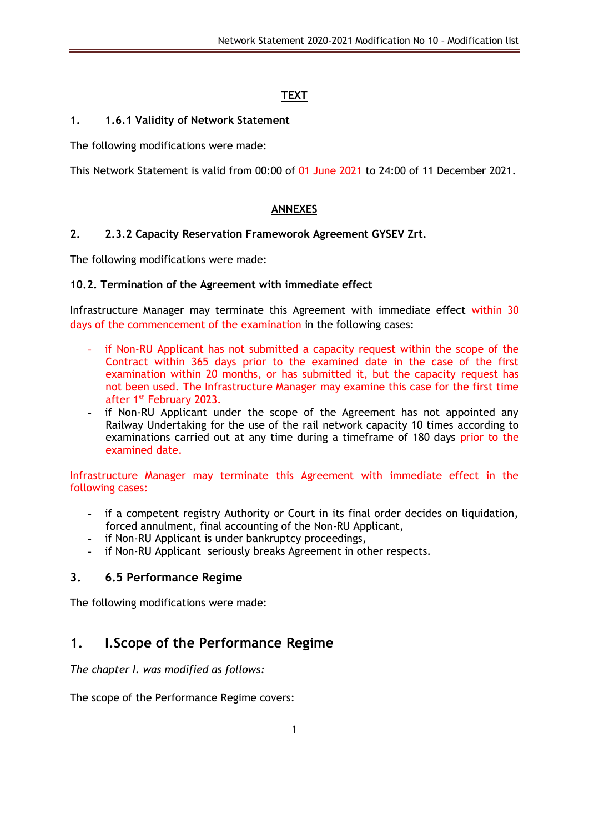# **TEXT**

### **1. 1.6.1 Validity of Network Statement**

The following modifications were made:

This Network Statement is valid from 00:00 of 01 June 2021 to 24:00 of 11 December 2021.

### **ANNEXES**

### **2. 2.3.2 Capacity Reservation Frameworok Agreement GYSEV Zrt.**

The following modifications were made:

#### **10.2. Termination of the Agreement with immediate effect**

Infrastructure Manager may terminate this Agreement with immediate effect within 30 days of the commencement of the examination in the following cases:

- if Non-RU Applicant has not submitted a capacity request within the scope of the Contract within 365 days prior to the examined date in the case of the first examination within 20 months, or has submitted it, but the capacity request has not been used. The Infrastructure Manager may examine this case for the first time after 1st February 2023.
- if Non-RU Applicant under the scope of the Agreement has not appointed any Railway Undertaking for the use of the rail network capacity 10 times according to examinations carried out at any time during a timeframe of 180 days prior to the examined date.

Infrastructure Manager may terminate this Agreement with immediate effect in the following cases:

- if a competent registry Authority or Court in its final order decides on liquidation, forced annulment, final accounting of the Non-RU Applicant,
- if Non-RU Applicant is under bankruptcy proceedings,
- if Non-RU Applicant seriously breaks Agreement in other respects.

# **3. 6.5 Performance Regime**

The following modifications were made:

# **1. I.Scope of the Performance Regime**

*The chapter I. was modified as follows:*

The scope of the Performance Regime covers: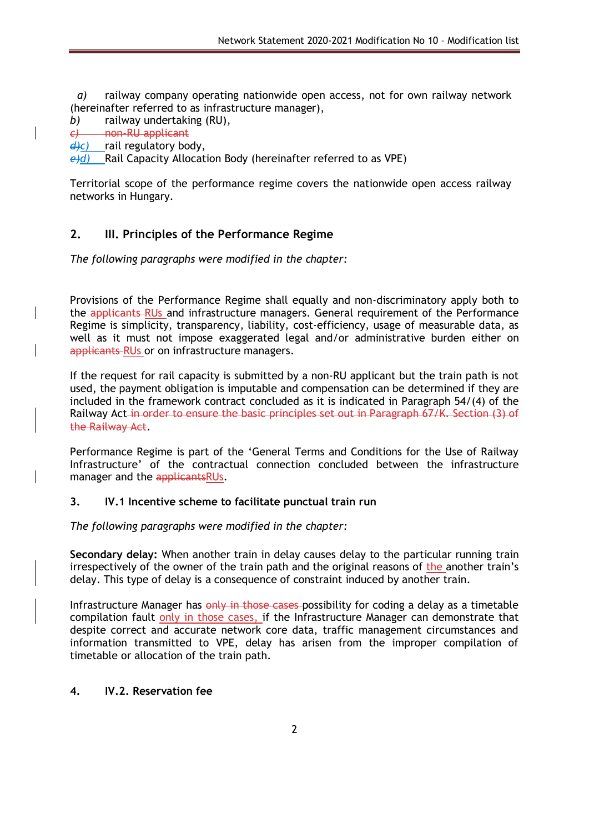*a)* railway company operating nationwide open access, not for own railway network (hereinafter referred to as infrastructure manager),

*b)* railway undertaking (RU),

*c)* non-RU applicant

*d)c)* rail regulatory body,

*e)d)* Rail Capacity Allocation Body (hereinafter referred to as VPE)

Territorial scope of the performance regime covers the nationwide open access railway networks in Hungary.

# **2. III. Principles of the Performance Regime**

*The following paragraphs were modified in the chapter:*

Provisions of the Performance Regime shall equally and non-discriminatory apply both to the applicants-RUs and infrastructure managers. General requirement of the Performance Regime is simplicity, transparency, liability, cost-efficiency, usage of measurable data, as well as it must not impose exaggerated legal and/or administrative burden either on applicants RUs or on infrastructure managers.

If the request for rail capacity is submitted by a non-RU applicant but the train path is not used, the payment obligation is imputable and compensation can be determined if they are included in the framework contract concluded as it is indicated in Paragraph 54/(4) of the Railway Act in order to ensure the basic principles set out in Paragraph 67/K. Section (3) of the Railway Act.

Performance Regime is part of the 'General Terms and Conditions for the Use of Railway Infrastructure' of the contractual connection concluded between the infrastructure manager and the applicantsRUs.

#### **3. IV.1 Incentive scheme to facilitate punctual train run**

*The following paragraphs were modified in the chapter:*

**Secondary delay:** When another train in delay causes delay to the particular running train irrespectively of the owner of the train path and the original reasons of the another train's delay. This type of delay is a consequence of constraint induced by another train.

Infrastructure Manager has only in those cases-possibility for coding a delay as a timetable compilation fault only in those cases, if the Infrastructure Manager can demonstrate that despite correct and accurate network core data, traffic management circumstances and information transmitted to VPE, delay has arisen from the improper compilation of timetable or allocation of the train path.

#### **4. IV.2. Reservation fee**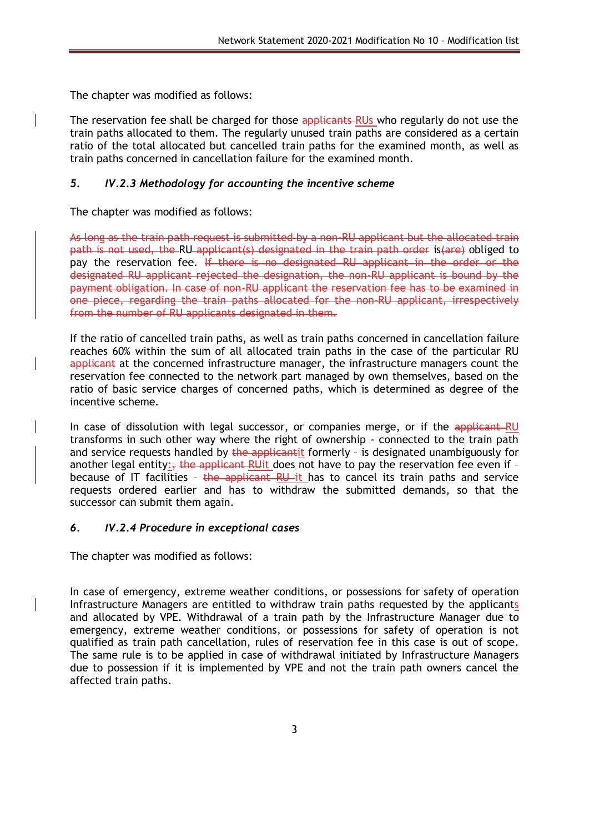The chapter was modified as follows:

The reservation fee shall be charged for those applicants RUs who regularly do not use the train paths allocated to them. The regularly unused train paths are considered as a certain ratio of the total allocated but cancelled train paths for the examined month, as well as train paths concerned in cancellation failure for the examined month.

### *5. IV.2.3 Methodology for accounting the incentive scheme*

The chapter was modified as follows:

As long as the train path request is submitted by a non-RU applicant but the allocated train path is not used, the RU applicant(s) designated in the train path order is(are) obliged to pay the reservation fee. If there is no designated RU applicant in the order or the designated RU applicant rejected the designation, the non-RU applicant is bound by the payment obligation. In case of non-RU applicant the reservation fee has to be examined in one piece, regarding the train paths allocated for the non-RU applicant, irrespectively from the number of RU applicants designated in them.

If the ratio of cancelled train paths, as well as train paths concerned in cancellation failure reaches 60% within the sum of all allocated train paths in the case of the particular RU applicant at the concerned infrastructure manager, the infrastructure managers count the reservation fee connected to the network part managed by own themselves, based on the ratio of basic service charges of concerned paths, which is determined as degree of the incentive scheme.

In case of dissolution with legal successor, or companies merge, or if the applicant RU transforms in such other way where the right of ownership - connected to the train path and service requests handled by the applicantit formerly - is designated unambiguously for another legal entity: $\frac{1}{2}$  the applicant RUit does not have to pay the reservation fee even if because of IT facilities - the applicant RU it has to cancel its train paths and service requests ordered earlier and has to withdraw the submitted demands, so that the successor can submit them again.

#### *6. IV.2.4 Procedure in exceptional cases*

The chapter was modified as follows:

In case of emergency, extreme weather conditions, or possessions for safety of operation Infrastructure Managers are entitled to withdraw train paths requested by the applicants and allocated by VPE. Withdrawal of a train path by the Infrastructure Manager due to emergency, extreme weather conditions, or possessions for safety of operation is not qualified as train path cancellation, rules of reservation fee in this case is out of scope. The same rule is to be applied in case of withdrawal initiated by Infrastructure Managers due to possession if it is implemented by VPE and not the train path owners cancel the affected train paths.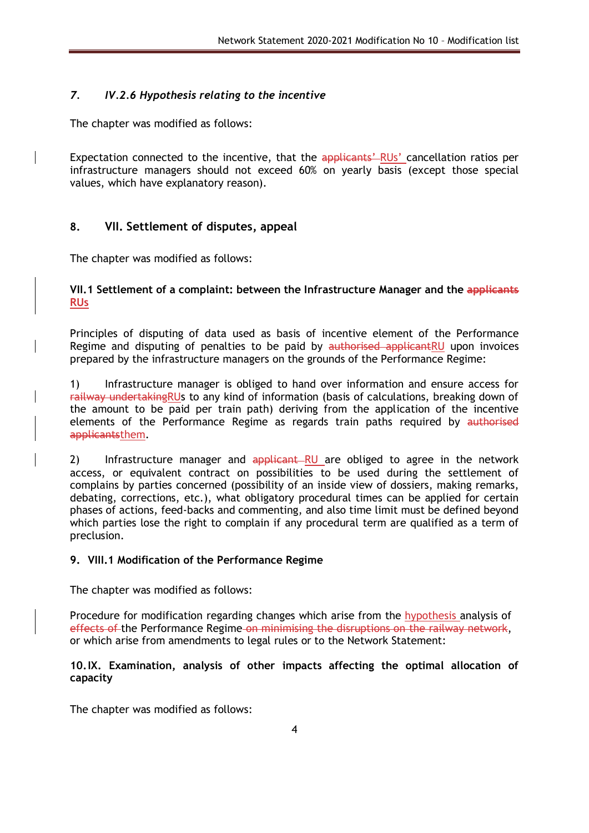# *7. IV.2.6 Hypothesis relating to the incentive*

The chapter was modified as follows:

Expectation connected to the incentive, that the applicants' RUs' cancellation ratios per infrastructure managers should not exceed 60% on yearly basis (except those special values, which have explanatory reason).

# **8. VII. Settlement of disputes, appeal**

The chapter was modified as follows:

### **VII.1 Settlement of a complaint: between the Infrastructure Manager and the applicants RUs**

Principles of disputing of data used as basis of incentive element of the Performance Regime and disputing of penalties to be paid by authorised applicantRU upon invoices prepared by the infrastructure managers on the grounds of the Performance Regime:

1) Infrastructure manager is obliged to hand over information and ensure access for railway undertakingRUs to any kind of information (basis of calculations, breaking down of the amount to be paid per train path) deriving from the application of the incentive elements of the Performance Regime as regards train paths required by authorised applicantsthem.

2) Infrastructure manager and applicant RU are obliged to agree in the network access, or equivalent contract on possibilities to be used during the settlement of complains by parties concerned (possibility of an inside view of dossiers, making remarks, debating, corrections, etc.), what obligatory procedural times can be applied for certain phases of actions, feed-backs and commenting, and also time limit must be defined beyond which parties lose the right to complain if any procedural term are qualified as a term of preclusion.

#### **9. VIII.1 Modification of the Performance Regime**

The chapter was modified as follows:

Procedure for modification regarding changes which arise from the hypothesis analysis of effects of the Performance Regime on minimising the disruptions on the railway network, or which arise from amendments to legal rules or to the Network Statement:

#### **10.IX. Examination, analysis of other impacts affecting the optimal allocation of capacity**

The chapter was modified as follows: